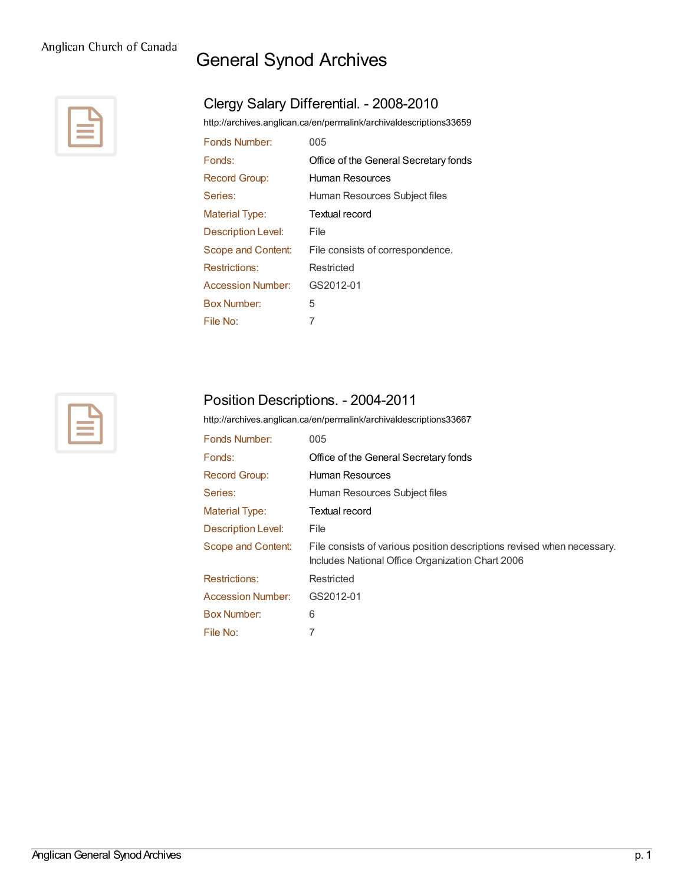# General Synod Archives



## Clergy Salary Differential. - 2008-2010

<http://archives.anglican.ca/en/permalink/archivaldescriptions33659>

| Fonds Number:         | 005                                   |
|-----------------------|---------------------------------------|
| Fonds:                | Office of the General Secretary fonds |
| Record Group:         | Human Resources                       |
| Series:               | Human Resources Subject files         |
| <b>Material Type:</b> | Textual record                        |
| Description Level:    | File                                  |
| Scope and Content:    | File consists of correspondence.      |
| <b>Restrictions:</b>  | Restricted                            |
| Accession Number:     | GS2012-01                             |
| <b>Box Number:</b>    | 5                                     |
| File No:              | 7                                     |



#### Position Descriptions. - 2004-2011

<http://archives.anglican.ca/en/permalink/archivaldescriptions33667>

| Fonds Number:         | 005                                                                                                                        |
|-----------------------|----------------------------------------------------------------------------------------------------------------------------|
| Fonds:                | Office of the General Secretary fonds                                                                                      |
| <b>Record Group:</b>  | Human Resources                                                                                                            |
| Series:               | Human Resources Subject files                                                                                              |
| <b>Material Type:</b> | Textual record                                                                                                             |
| Description Level:    | File                                                                                                                       |
| Scope and Content:    | File consists of various position descriptions revised when necessary.<br>Includes National Office Organization Chart 2006 |
| <b>Restrictions:</b>  | Restricted                                                                                                                 |
| Accession Number:     | GS2012-01                                                                                                                  |
| Box Number:           | 6                                                                                                                          |
| File No:              |                                                                                                                            |